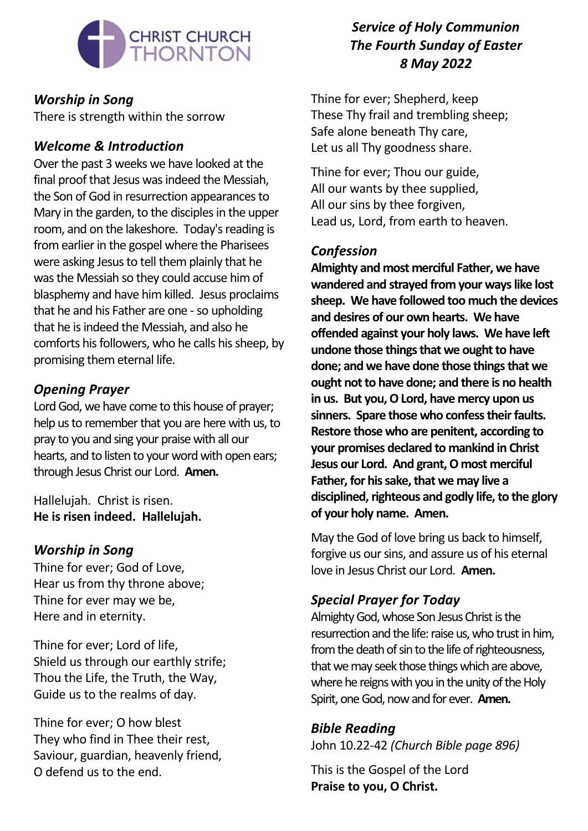

### *Worship in Song*

There is strength within the sorrow

### *Welcome & Introduction*

Over the past 3 weeks we have looked at the final proof that Jesus was indeed the Messiah, the Son of God in resurrection appearances to Mary in the garden, to the disciples in the upper room, and on the lakeshore. Today's reading is from earlier in the gospel where the Pharisees were asking Jesus to tell them plainly that he was the Messiah so they could accuse him of blasphemy and have him killed. Jesus proclaims that he and his Father are one - so upholding that he is indeed the Messiah, and also he comforts his followers, who he calls his sheep, by promising them eternal life.

# *Opening Prayer*

Lord God, we have come to this house of prayer; help us to remember that you are here with us, to pray to you and sing your praise with all our hearts, and to listen to your word with open ears; through Jesus Christ our Lord. **Amen.**

Hallelujah. Christ is risen. **He is risen indeed. Hallelujah.**

### *Worship in Song*

Thine for ever; God of Love, Hear us from thy throne above; Thine for ever may we be, Here and in eternity.

Thine for ever; Lord of life, Shield us through our earthly strife; Thou the Life, the Truth, the Way, Guide us to the realms of day.

Thine for ever; O how blest They who find in Thee their rest, Saviour, guardian, heavenly friend, O defend us to the end.

# *Service of Holy Communion The Fourth Sunday of Easter 8 May 2022*

Thine for ever; Shepherd, keep These Thy frail and trembling sheep; Safe alone beneath Thy care, Let us all Thy goodness share.

Thine for ever; Thou our guide, All our wants by thee supplied, All our sins by thee forgiven, Lead us, Lord, from earth to heaven.

### *Confession*

**Almighty and most merciful Father, we have wandered and strayed from your wayslike lost sheep. We have followed too much the devices and desires of our own hearts. We have offended against your holy laws. We have left undone those things that we ought to have done; and we have done those thingsthat we** *ought* **not to have done; and there is no health in us. But you,OLord, have mercy upon us sinners. Spare those who confesstheirfaults. Restore those who are penitent, according to your promises declared to mankind in Christ Jesus our Lord. And grant,O most merciful Father, for hissake,that we may live a disciplined, righteous and godly life, to the glory of your holy name. Amen.**

May the God of love bring us back to himself, forgive us our sins, and assure us of his eternal love in Jesus Christ our Lord. **Amen.**

# *Special Prayer for Today*

Almighty God, whose Son Jesus Christ is the resurrection and the life: raise us, who trust in him, from the death of sin to the life of righteousness, that we may seek those things which are above, where he reigns with you in the unity of the Holy Spirit, one God, now and for ever. **Amen.** 

# *Bible Reading*

John 10.22-42 *(Church Bible page 896)*

This is the Gospel of the Lord **Praise to you, O Christ.**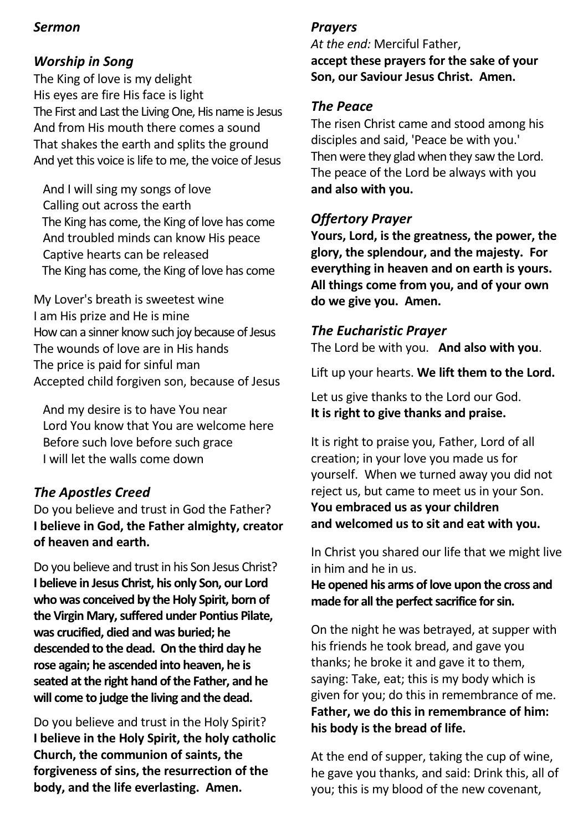### *Sermon*

# *Worship in Song*

The King of love is my delight His eyes are fire His face is light The First and Last the Living One, His name is Jesus And from His mouth there comes a sound That shakes the earth and splits the ground And yet this voice is life to me, the voice of Jesus

 And I will sing my songs of love Calling out across the earth The King has come, the King of love has come And troubled minds can know His peace Captive hearts can be released The King has come, the King of love has come

My Lover's breath is sweetest wine I am His prize and He is mine How can a sinner know such joy because of Jesus The wounds of love are in His hands The price is paid for sinful man Accepted child forgiven son, because of Jesus

 And my desire is to have You near Lord You know that You are welcome here Before such love before such grace I will let the walls come down

# *The Apostles Creed*

Do you believe and trust in God the Father? **I believe in God, the Father almighty, creator of heaven and earth.**

Do you believe and trust in his Son Jesus Christ? **I believe in Jesus Christ, his only Son, our Lord who was conceived by theHoly Spirit, born of the Virgin Mary,suffered under Pontius Pilate, was crucified, died and was buried; he descended to the dead. On the third day he rose again; he ascended into heaven, he is seated atthe right hand ofthe Father, and he will come to judge the living and the dead.**

Do you believe and trust in the Holy Spirit? **I believe in the Holy Spirit, the holy catholic Church, the communion of saints, the forgiveness of sins, the resurrection of the body, and the life everlasting. Amen.**

### *Prayers*

*At the end:* Merciful Father, **accept these prayers for the sake of your Son, our Saviour Jesus Christ. Amen.**

### *The Peace*

The risen Christ came and stood among his disciples and said, 'Peace be with you.' Then were they glad when they saw the Lord. The peace of the Lord be always with you **and also with you.**

# *Offertory Prayer*

**Yours, Lord, is the greatness, the power, the glory, the splendour, and the majesty. For everything in heaven and on earth is yours. All things come from you, and of your own do we give you. Amen.**

# *The Eucharistic Prayer*

The Lord be with you. **And also with you**.

Lift up your hearts. **We lift them to the Lord.**

Let us give thanks to the Lord our God. **It is right to give thanks and praise.**

It is right to praise you, Father, Lord of all creation; in your love you made us for yourself. When we turned away you did not reject us, but came to meet us in your Son. **You embraced us as your children and welcomed us to sit and eat with you.**

In Christ you shared our life that we might live in him and he in us.

**He opened his arms of love upon the cross and made** for all the perfect sacrifice for sin.

On the night he was betrayed, at supper with his friends he took bread, and gave you thanks; he broke it and gave it to them, saying: Take, eat; this is my body which is given for you; do this in remembrance of me. **Father, we do this in remembrance of him: his body is the bread of life.**

At the end of supper, taking the cup of wine, he gave you thanks, and said: Drink this, all of you; this is my blood of the new covenant,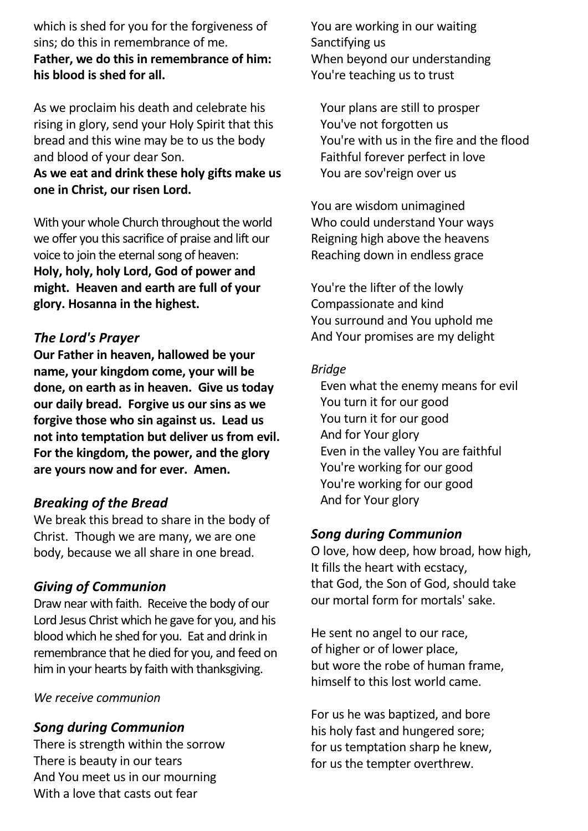which is shed for you for the forgiveness of sins; do this in remembrance of me. **Father, we do this in remembrance of him: his blood is shed for all.**

As we proclaim his death and celebrate his rising in glory, send your Holy Spirit that this bread and this wine may be to us the body and blood of your dear Son.

**As we eat and drink these holy gifts make us one in Christ, our risen Lord.**

With your whole Church throughout the world we offer you this sacrifice of praise and lift our voice to join the eternal song of heaven: **Holy, holy, holy Lord, God of power and might. Heaven and earth are full of your glory. Hosanna in the highest.**

### *The Lord's Prayer*

**Our Father in heaven, hallowed be your name, your kingdom come, your will be done, on earth as in heaven. Give us today our daily bread. Forgive us our sins as we forgive those who sin against us. Lead us not into temptation but deliver us from evil. For the kingdom, the power, and the glory are yours now and for ever. Amen.**

### *Breaking of the Bread*

We break this bread to share in the body of Christ. Though we are many, we are one body, because we all share in one bread.

#### *Giving of Communion*

Draw near with faith. Receive the body of our Lord Jesus Christ which he gave for you, and his blood which he shed for you. Eat and drink in remembrance that he died for you, and feed on him in your hearts by faith with thanksgiving.

#### *We receive communion*

#### *Song during Communion*

There is strength within the sorrow There is beauty in our tears And You meet us in our mourning With a love that casts out fear

You are working in our waiting Sanctifying us When beyond our understanding You're teaching us to trust

 Your plans are still to prosper You've not forgotten us You're with us in the fire and the flood Faithful forever perfect in love You are sov'reign over us

You are wisdom unimagined Who could understand Your ways Reigning high above the heavens Reaching down in endless grace

You're the lifter of the lowly Compassionate and kind You surround and You uphold me And Your promises are my delight

#### *Bridge*

 Even what the enemy means for evil You turn it for our good You turn it for our good And for Your glory Even in the valley You are faithful You're working for our good You're working for our good And for Your glory

#### *Song during Communion*

O love, how deep, how broad, how high, It fills the heart with ecstacy, that God, the Son of God, should take our mortal form for mortals' sake.

He sent no angel to our race, of higher or of lower place, but wore the robe of human frame, himself to this lost world came.

For us he was baptized, and bore his holy fast and hungered sore; for us temptation sharp he knew, for us the tempter overthrew.